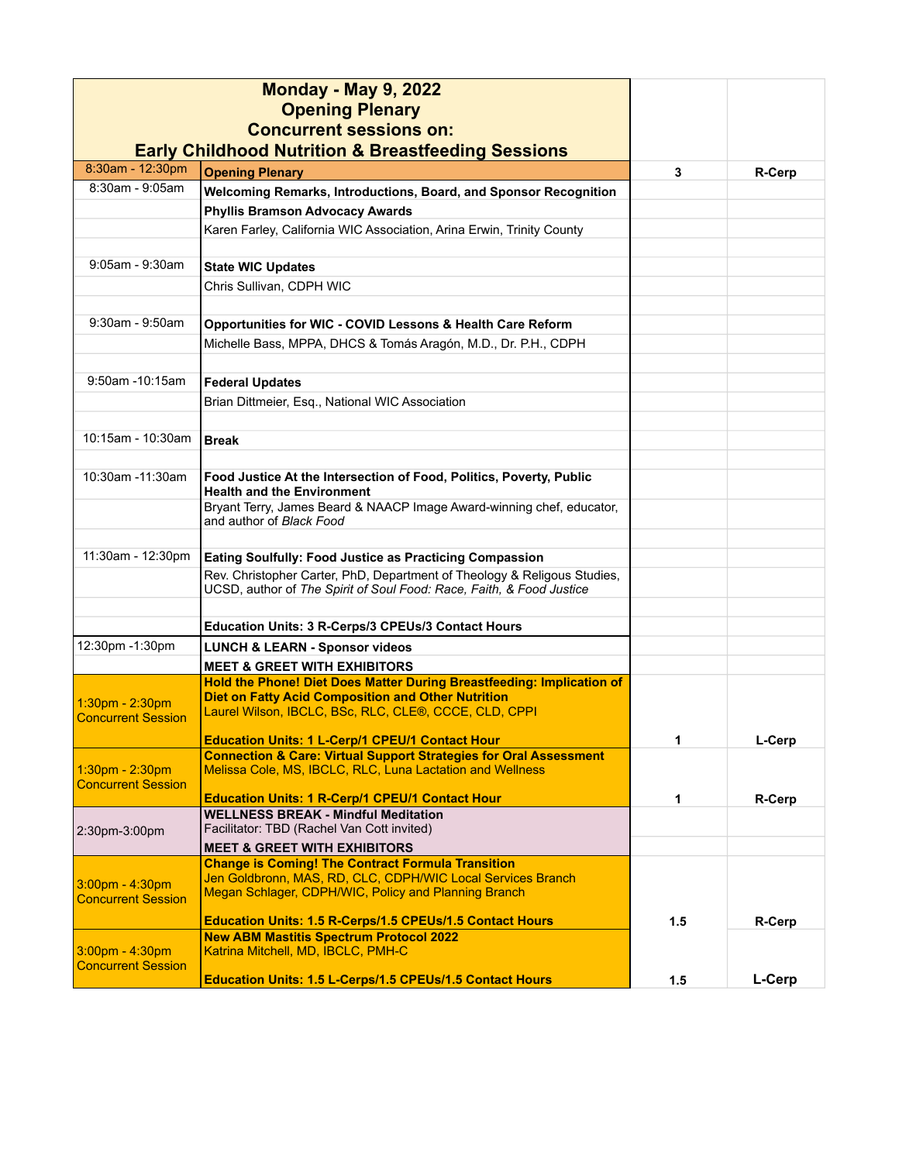|                           | <b>Monday - May 9, 2022</b><br><b>Opening Plenary</b><br><b>Concurrent sessions on:</b><br><b>Early Childhood Nutrition &amp; Breastfeeding Sessions</b> |     |               |
|---------------------------|----------------------------------------------------------------------------------------------------------------------------------------------------------|-----|---------------|
| 8:30am - 12:30pm          | <b>Opening Plenary</b>                                                                                                                                   | 3   | R-Cerp        |
| $8:30$ am - $9:05$ am     | Welcoming Remarks, Introductions, Board, and Sponsor Recognition                                                                                         |     |               |
|                           | <b>Phyllis Bramson Advocacy Awards</b>                                                                                                                   |     |               |
|                           | Karen Farley, California WIC Association, Arina Erwin, Trinity County                                                                                    |     |               |
| $9:05$ am - $9:30$ am     | <b>State WIC Updates</b>                                                                                                                                 |     |               |
|                           | Chris Sullivan, CDPH WIC                                                                                                                                 |     |               |
|                           |                                                                                                                                                          |     |               |
| $9:30$ am - $9:50$ am     | Opportunities for WIC - COVID Lessons & Health Care Reform                                                                                               |     |               |
|                           | Michelle Bass, MPPA, DHCS & Tomás Aragón, M.D., Dr. P.H., CDPH                                                                                           |     |               |
|                           |                                                                                                                                                          |     |               |
| 9:50am -10:15am           | <b>Federal Updates</b>                                                                                                                                   |     |               |
|                           | Brian Dittmeier, Esq., National WIC Association                                                                                                          |     |               |
|                           |                                                                                                                                                          |     |               |
| 10:15am - 10:30am         | <b>Break</b>                                                                                                                                             |     |               |
|                           |                                                                                                                                                          |     |               |
| 10:30am -11:30am          | Food Justice At the Intersection of Food, Politics, Poverty, Public<br><b>Health and the Environment</b>                                                 |     |               |
|                           | Bryant Terry, James Beard & NAACP Image Award-winning chef, educator,                                                                                    |     |               |
|                           | and author of Black Food                                                                                                                                 |     |               |
| 11:30am - 12:30pm         |                                                                                                                                                          |     |               |
|                           | Eating Soulfully: Food Justice as Practicing Compassion<br>Rev. Christopher Carter, PhD, Department of Theology & Religous Studies,                      |     |               |
|                           | UCSD, author of The Spirit of Soul Food: Race, Faith, & Food Justice                                                                                     |     |               |
|                           |                                                                                                                                                          |     |               |
|                           | Education Units: 3 R-Cerps/3 CPEUs/3 Contact Hours                                                                                                       |     |               |
| 12:30pm -1:30pm           | <b>LUNCH &amp; LEARN - Sponsor videos</b>                                                                                                                |     |               |
|                           | <b>MEET &amp; GREET WITH EXHIBITORS</b>                                                                                                                  |     |               |
|                           | Hold the Phone! Diet Does Matter During Breastfeeding: Implication of                                                                                    |     |               |
| 1:30pm - 2:30pm           | <b>Diet on Fatty Acid Composition and Other Nutrition</b><br>Laurel Wilson, IBCLC, BSc, RLC, CLE®, CCCE, CLD, CPPI                                       |     |               |
| <b>Concurrent Session</b> |                                                                                                                                                          |     |               |
|                           | <b>Education Units: 1 L-Cerp/1 CPEU/1 Contact Hour</b>                                                                                                   | 1   | L-Cerp        |
| 1:30pm - 2:30pm           | <b>Connection &amp; Care: Virtual Support Strategies for Oral Assessment</b><br>Melissa Cole, MS, IBCLC, RLC, Luna Lactation and Wellness                |     |               |
| <b>Concurrent Session</b> |                                                                                                                                                          |     |               |
|                           | <b>Education Units: 1 R-Cerp/1 CPEU/1 Contact Hour</b>                                                                                                   | 1   | R-Cerp        |
|                           | <b>WELLNESS BREAK - Mindful Meditation</b><br>Facilitator: TBD (Rachel Van Cott invited)                                                                 |     |               |
| 2:30pm-3:00pm             | <b>MEET &amp; GREET WITH EXHIBITORS</b>                                                                                                                  |     |               |
|                           | <b>Change is Coming! The Contract Formula Transition</b>                                                                                                 |     |               |
| $3:00$ pm - $4:30$ pm     | Jen Goldbronn, MAS, RD, CLC, CDPH/WIC Local Services Branch                                                                                              |     |               |
| <b>Concurrent Session</b> | Megan Schlager, CDPH/WIC, Policy and Planning Branch                                                                                                     |     |               |
|                           | Education Units: 1.5 R-Cerps/1.5 CPEUs/1.5 Contact Hours                                                                                                 | 1.5 | <b>R-Cerp</b> |
| $3:00$ pm - $4:30$ pm     | <b>New ABM Mastitis Spectrum Protocol 2022</b><br>Katrina Mitchell, MD, IBCLC, PMH-C                                                                     |     |               |
| <b>Concurrent Session</b> |                                                                                                                                                          |     |               |
|                           | <b>Education Units: 1.5 L-Cerps/1.5 CPEUs/1.5 Contact Hours</b>                                                                                          | 1.5 | L-Cerp        |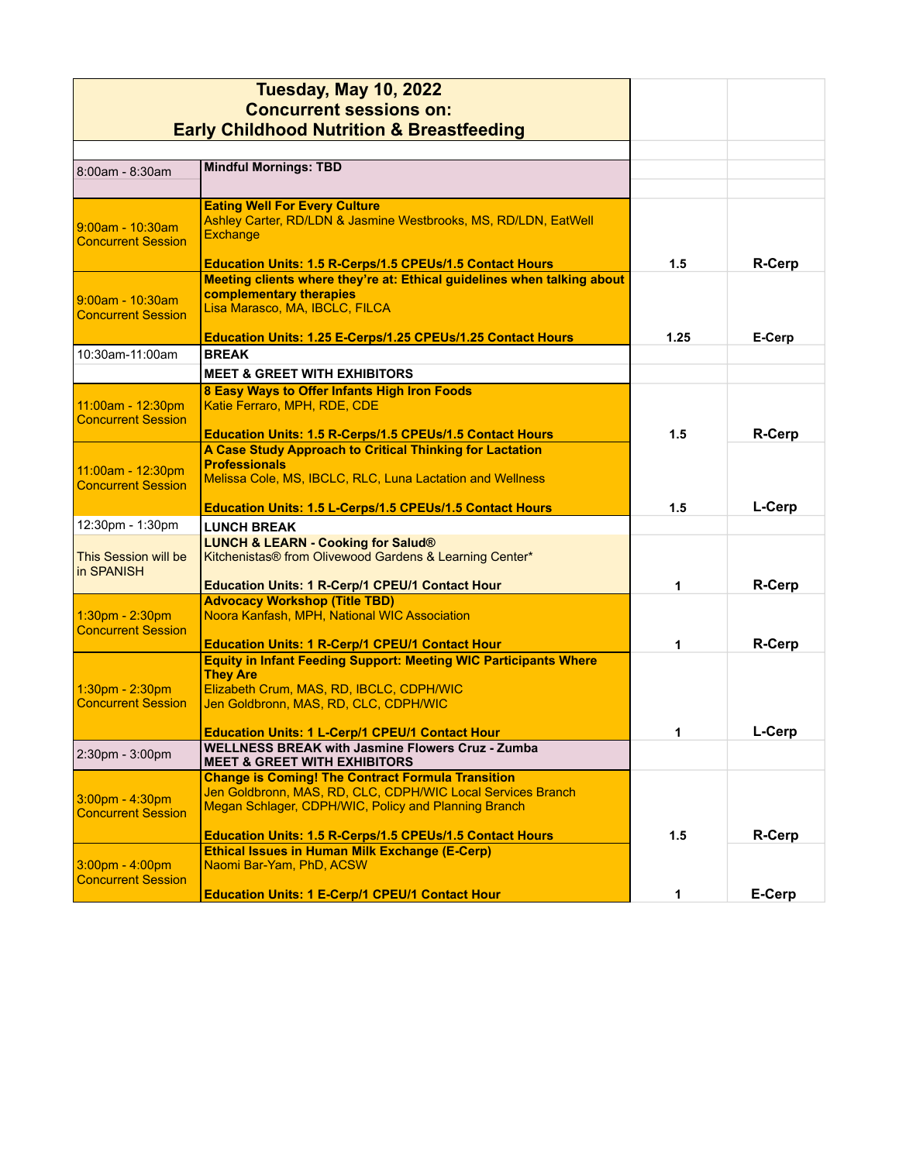| <b>Tuesday, May 10, 2022</b><br><b>Concurrent sessions on:</b><br><b>Early Childhood Nutrition &amp; Breastfeeding</b> |                                                                                                                                                                                               |      |               |
|------------------------------------------------------------------------------------------------------------------------|-----------------------------------------------------------------------------------------------------------------------------------------------------------------------------------------------|------|---------------|
| 8:00am - 8:30am                                                                                                        | <b>Mindful Mornings: TBD</b>                                                                                                                                                                  |      |               |
|                                                                                                                        |                                                                                                                                                                                               |      |               |
| 9:00am - 10:30am<br><b>Concurrent Session</b>                                                                          | <b>Eating Well For Every Culture</b><br>Ashley Carter, RD/LDN & Jasmine Westbrooks, MS, RD/LDN, EatWell<br><b>Exchange</b><br><b>Education Units: 1.5 R-Cerps/1.5 CPEUs/1.5 Contact Hours</b> | 1.5  | R-Cerp        |
| 9:00am - 10:30am<br><b>Concurrent Session</b>                                                                          | Meeting clients where they're at: Ethical guidelines when talking about<br>complementary therapies<br>Lisa Marasco, MA, IBCLC, FILCA                                                          |      |               |
|                                                                                                                        | Education Units: 1.25 E-Cerps/1.25 CPEUs/1.25 Contact Hours                                                                                                                                   | 1.25 | E-Cerp        |
| 10:30am-11:00am                                                                                                        | <b>BREAK</b>                                                                                                                                                                                  |      |               |
|                                                                                                                        | <b>MEET &amp; GREET WITH EXHIBITORS</b>                                                                                                                                                       |      |               |
| 11:00am - 12:30pm<br><b>Concurrent Session</b>                                                                         | 8 Easy Ways to Offer Infants High Iron Foods<br>Katie Ferraro, MPH, RDE, CDE<br><b>Education Units: 1.5 R-Cerps/1.5 CPEUs/1.5 Contact Hours</b>                                               | 1.5  | R-Cerp        |
| 11:00am - 12:30pm<br><b>Concurrent Session</b>                                                                         | A Case Study Approach to Critical Thinking for Lactation<br><b>Professionals</b><br>Melissa Cole, MS, IBCLC, RLC, Luna Lactation and Wellness                                                 |      |               |
|                                                                                                                        | <b>Education Units: 1.5 L-Cerps/1.5 CPEUs/1.5 Contact Hours</b>                                                                                                                               | 1.5  | L-Cerp        |
| 12:30pm - 1:30pm                                                                                                       | <b>LUNCH BREAK</b>                                                                                                                                                                            |      |               |
| This Session will be<br>in SPANISH                                                                                     | <b>LUNCH &amp; LEARN - Cooking for Salud®</b><br>Kitchenistas® from Olivewood Gardens & Learning Center*                                                                                      |      |               |
|                                                                                                                        | <b>Education Units: 1 R-Cerp/1 CPEU/1 Contact Hour</b>                                                                                                                                        | 1    | R-Cerp        |
| 1:30pm - 2:30pm<br><b>Concurrent Session</b>                                                                           | <b>Advocacy Workshop (Title TBD)</b><br>Noora Kanfash, MPH, National WIC Association                                                                                                          |      |               |
|                                                                                                                        | <b>Education Units: 1 R-Cerp/1 CPEU/1 Contact Hour</b>                                                                                                                                        | 1    | <b>R-Cerp</b> |
| 1:30pm - 2:30pm<br><b>Concurrent Session</b>                                                                           | <b>Equity in Infant Feeding Support: Meeting WIC Participants Where</b><br><b>They Are</b><br>Elizabeth Crum, MAS, RD, IBCLC, CDPH/WIC<br>Jen Goldbronn, MAS, RD, CLC, CDPH/WIC               |      |               |
|                                                                                                                        | Education Units: 1 L-Cerp/1 CPEU/1 Contact Hour                                                                                                                                               | 1.   | L-Cerp        |
| 2:30pm - 3:00pm                                                                                                        | <b>WELLNESS BREAK with Jasmine Flowers Cruz - Zumba</b><br><b>MEET &amp; GREET WITH EXHIBITORS</b>                                                                                            |      |               |
| $3.00$ pm - 4:30pm<br><b>Concurrent Session</b>                                                                        | <b>Change is Coming! The Contract Formula Transition</b><br>Jen Goldbronn, MAS, RD, CLC, CDPH/WIC Local Services Branch<br>Megan Schlager, CDPH/WIC, Policy and Planning Branch               |      |               |
|                                                                                                                        | Education Units: 1.5 R-Cerps/1.5 CPEUs/1.5 Contact Hours                                                                                                                                      | 1.5  | <b>R-Cerp</b> |
| $3.00pm - 4.00pm$<br><b>Concurrent Session</b>                                                                         | <b>Ethical Issues in Human Milk Exchange (E-Cerp)</b><br>Naomi Bar-Yam, PhD, ACSW                                                                                                             |      |               |
|                                                                                                                        | <b>Education Units: 1 E-Cerp/1 CPEU/1 Contact Hour</b>                                                                                                                                        | 1    | E-Cerp        |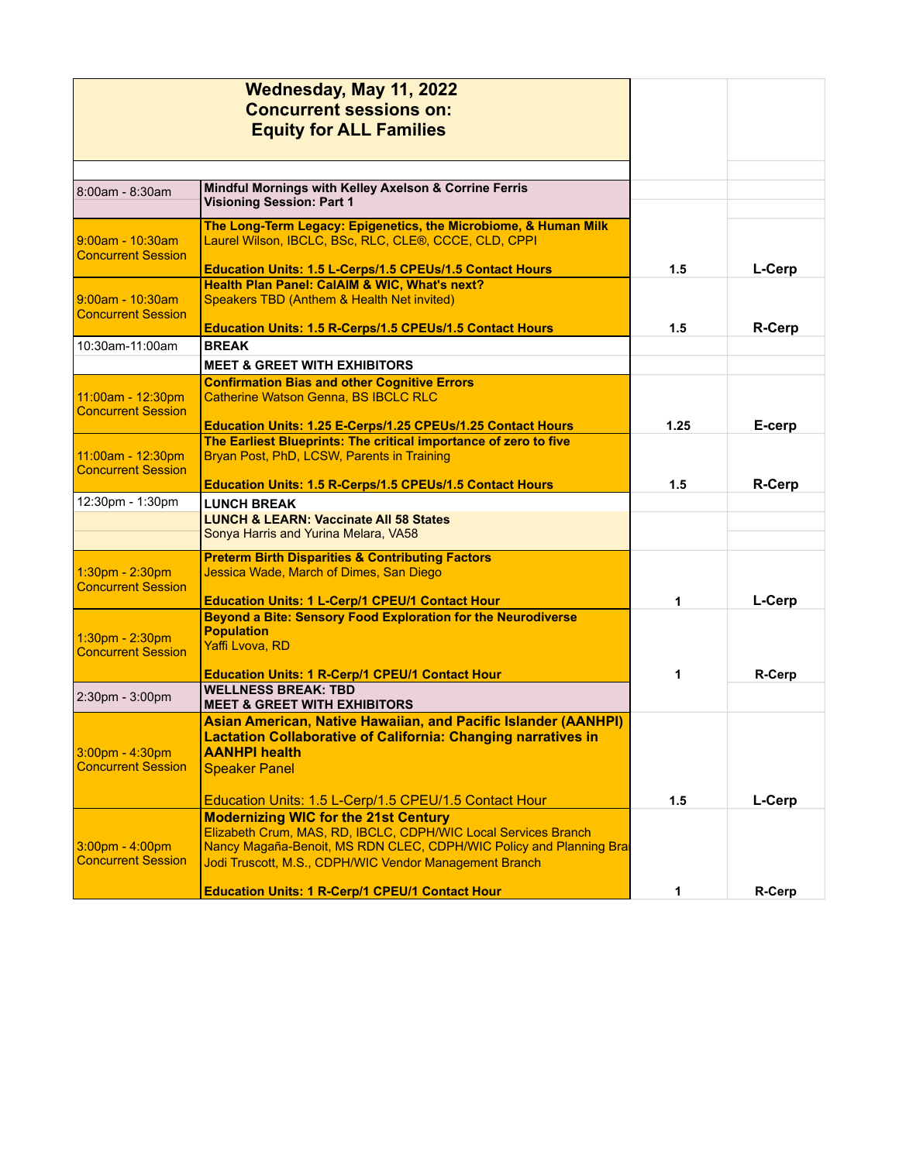|                                                       | Wednesday, May 11, 2022<br><b>Concurrent sessions on:</b><br><b>Equity for ALL Families</b>                                                                                                                                                   |      |               |
|-------------------------------------------------------|-----------------------------------------------------------------------------------------------------------------------------------------------------------------------------------------------------------------------------------------------|------|---------------|
| 8:00am - 8:30am                                       | Mindful Mornings with Kelley Axelson & Corrine Ferris<br><b>Visioning Session: Part 1</b>                                                                                                                                                     |      |               |
| <u> 9:00am - 10:30am</u><br><b>Concurrent Session</b> | The Long-Term Legacy: Epigenetics, the Microbiome, & Human Milk<br>Laurel Wilson, IBCLC, BSc, RLC, CLE®, CCCE, CLD, CPPI<br>Education Units: 1.5 L-Cerps/1.5 CPEUs/1.5 Contact Hours                                                          | 1.5  | L-Cerp        |
| <u> 9:00am - 10:30am</u><br><b>Concurrent Session</b> | Health Plan Panel: CalAIM & WIC, What's next?<br>Speakers TBD (Anthem & Health Net invited)                                                                                                                                                   |      |               |
| 10:30am-11:00am                                       | <b>Education Units: 1.5 R-Cerps/1.5 CPEUs/1.5 Contact Hours</b><br><b>BREAK</b>                                                                                                                                                               | 1.5  | <b>R-Cerp</b> |
|                                                       | <b>MEET &amp; GREET WITH EXHIBITORS</b>                                                                                                                                                                                                       |      |               |
| 11:00am - 12:30pm<br><b>Concurrent Session</b>        | <b>Confirmation Bias and other Cognitive Errors</b><br><b>Catherine Watson Genna, BS IBCLC RLC</b>                                                                                                                                            |      |               |
|                                                       | Education Units: 1.25 E-Cerps/1.25 CPEUs/1.25 Contact Hours                                                                                                                                                                                   | 1.25 | E-cerp        |
| 11:00am - 12:30pm<br><b>Concurrent Session</b>        | The Earliest Blueprints: The critical importance of zero to five<br>Bryan Post, PhD, LCSW, Parents in Training                                                                                                                                |      |               |
| 12:30pm - 1:30pm                                      | Education Units: 1.5 R-Cerps/1.5 CPEUs/1.5 Contact Hours<br><b>LUNCH BREAK</b>                                                                                                                                                                | 1.5  | <b>R-Cerp</b> |
|                                                       | <b>LUNCH &amp; LEARN: Vaccinate All 58 States</b>                                                                                                                                                                                             |      |               |
|                                                       | Sonya Harris and Yurina Melara, VA58                                                                                                                                                                                                          |      |               |
| $1.30pm - 2.30pm$<br><b>Concurrent Session</b>        | <b>Preterm Birth Disparities &amp; Contributing Factors</b><br>Jessica Wade, March of Dimes, San Diego                                                                                                                                        |      |               |
|                                                       | <b>Education Units: 1 L-Cerp/1 CPEU/1 Contact Hour</b><br><b>Beyond a Bite: Sensory Food Exploration for the Neurodiverse</b>                                                                                                                 | 1    | L-Cerp        |
| $1:30pm - 2:30pm$<br><b>Concurrent Session</b>        | <b>Population</b><br>Yaffi Lvova, RD                                                                                                                                                                                                          |      |               |
|                                                       | <b>Education Units: 1 R-Cerp/1 CPEU/1 Contact Hour</b>                                                                                                                                                                                        | 1    | R-Cerp        |
| 2:30pm - 3:00pm                                       | <b>WELLNESS BREAK: TBD</b><br><b>MEET &amp; GREET WITH EXHIBITORS</b>                                                                                                                                                                         |      |               |
| 3:00pm - 4:30pm<br><b>Concurrent Session</b>          | <b>Asian American, Native Hawaiian, and Pacific Islander (AANHPI)</b><br><b>Lactation Collaborative of California: Changing narratives in</b><br><b>AANHPI health</b><br><b>Speaker Panel</b>                                                 |      |               |
|                                                       | Education Units: 1.5 L-Cerp/1.5 CPEU/1.5 Contact Hour                                                                                                                                                                                         | 1.5  | L-Cerp        |
| $3.00pm - 4.00pm$<br><b>Concurrent Session</b>        | <b>Modernizing WIC for the 21st Century</b><br>Elizabeth Crum, MAS, RD, IBCLC, CDPH/WIC Local Services Branch<br>Nancy Magaña-Benoit, MS RDN CLEC, CDPH/WIC Policy and Planning Bra<br>Jodi Truscott, M.S., CDPH/WIC Vendor Management Branch |      |               |
|                                                       | <b>Education Units: 1 R-Cerp/1 CPEU/1 Contact Hour</b>                                                                                                                                                                                        | 1    | R-Cerp        |